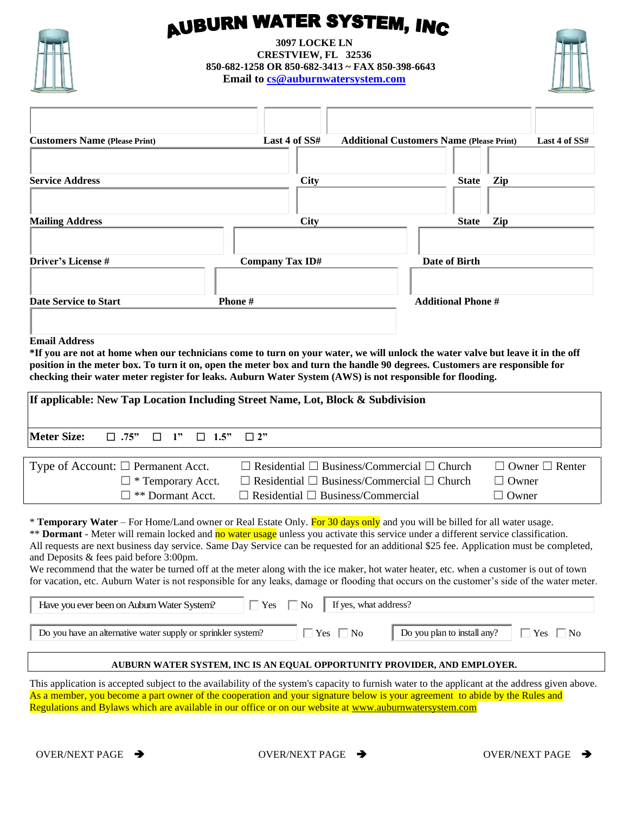

## **AUBURN WATER SYSTEM, INC**

**3097 LOCKE LN CRESTVIEW, FL 32536 850-682-1258 OR 850-682-3413 ~ FAX 850-398-6643 Email to [cs@auburnwatersystem.com](mailto:cs@auburnwatersystem.com)**



| <b>Customers Name (Please Print)</b> | Last 4 of SS#          | <b>Additional Customers Name (Please Print)</b> | Last 4 of SS# |
|--------------------------------------|------------------------|-------------------------------------------------|---------------|
|                                      |                        |                                                 |               |
| <b>Service Address</b>               | <b>City</b>            | <b>State</b>                                    | Zip           |
|                                      |                        |                                                 |               |
| <b>Mailing Address</b>               | <b>City</b>            | <b>State</b>                                    | Zip           |
|                                      |                        |                                                 |               |
| <b>Driver's License #</b>            | <b>Company Tax ID#</b> | Date of Birth                                   |               |
|                                      |                        |                                                 |               |
| Date Service to Start                | Phone#                 | <b>Additional Phone #</b>                       |               |
|                                      |                        |                                                 |               |

## **Email Address**

**\*If you are not at home when our technicians come to turn on your water, we will unlock the water valve but leave it in the off position in the meter box. To turn it on, open the meter box and turn the handle 90 degrees. Customers are responsible for checking their water meter register for leaks. Auburn Water System (AWS) is not responsible for flooding.**

| If applicable: New Tap Location Including Street Name, Lot, Block & Subdivision                                                                                                                                                                                                |                                                             |                            |  |  |  |
|--------------------------------------------------------------------------------------------------------------------------------------------------------------------------------------------------------------------------------------------------------------------------------|-------------------------------------------------------------|----------------------------|--|--|--|
| Meter Size:<br>$\Box$ .75"<br>$\Box$ 1" $\Box$ 1.5" $\Box$ 2"                                                                                                                                                                                                                  |                                                             |                            |  |  |  |
|                                                                                                                                                                                                                                                                                |                                                             |                            |  |  |  |
| Type of Account: $\Box$ Permanent Acct.                                                                                                                                                                                                                                        | $\Box$ Residential $\Box$ Business/Commercial $\Box$ Church | $\Box$ Owner $\Box$ Renter |  |  |  |
| $\Box$ * Temporary Acct.                                                                                                                                                                                                                                                       | $\Box$ Residential $\Box$ Business/Commercial $\Box$ Church | $\Box$ Owner               |  |  |  |
| $\square$ ** Dormant Acct.                                                                                                                                                                                                                                                     | $\Box$ Residential $\Box$ Business/Commercial               | $\Box$ Owner               |  |  |  |
| <b>* Temporary Water</b> – For Home/Land owner or Real Estate Only. For 30 days only and you will be billed for all water usage.<br><b>** Dormant</b> - Meter will remain locked and no water usage unless you activate this service under a different service classification. |                                                             |                            |  |  |  |

All requests are next business day service. Same Day Service can be requested for an additional \$25 fee. Application must be completed, and Deposits & fees paid before 3:00pm.

We recommend that the water be turned off at the meter along with the ice maker, hot water heater, etc. when a customer is out of town for vacation, etc. Auburn Water is not responsible for any leaks, damage or flooding that occurs on the customer's side of the water meter.

## **AUBURN WATER SYSTEM, INC IS AN EQUAL OPPORTUNITY PROVIDER, AND EMPLOYER.**

This application is accepted subject to the availability of the system's capacity to furnish water to the applicant at the address given above. As a member, you become a part owner of the cooperation and your signature below is your agreement to abide by the Rules and Regulations and Bylaws which are available in our office or on our website at www.auburnwatersystem.com Have you ever been on Auburn Water System?  $\Box$  Yes  $\Box$  No  $\Box$  Yes  $\Box$  No  $\Box$  Do you plan to install any?  $\Box$  Yes  $\Box$  No AUBURN WATER SYSTEM, INC IS AN EQUAL OPPORTUNITY PROVIDER, AND EMPLOYER.<br>
AUBURN WATER SYSTEM,